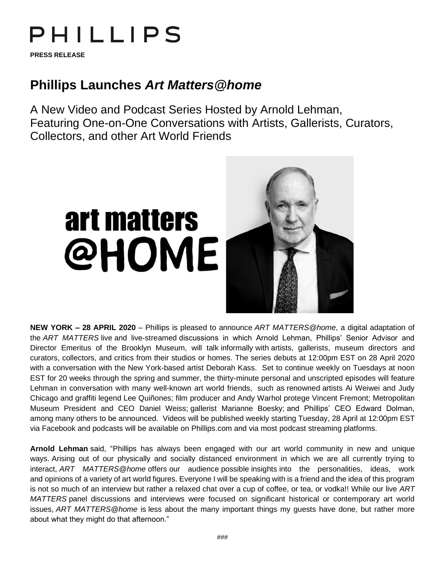## PHILLIPS

**PRESS RELEASE**

## **Phillips Launches** *Art Matters@home*

A New Video and Podcast Series Hosted by Arnold Lehman, Featuring One-on-One Conversations with Artists, Gallerists, Curators, Collectors, and other Art World Friends

## art matters @HOME



**NEW YORK – 28 APRIL 2020** – Phillips is pleased to announce *ART MATTERS@home*, a digital adaptation of the *ART MATTERS* live and live-streamed discussions in which Arnold Lehman, Phillips' Senior Advisor and Director Emeritus of the Brooklyn Museum, will talk informally with artists, gallerists, museum directors and curators, collectors, and critics from their studios or homes. The series debuts at 12:00pm EST on 28 April 2020 with a conversation with the New York-based artist Deborah Kass. Set to continue weekly on Tuesdays at noon EST for 20 weeks through the spring and summer, the thirty-minute personal and unscripted episodes will feature Lehman in conversation with many well-known art world friends, such as renowned artists Ai Weiwei and Judy Chicago and graffiti legend Lee Quiñones; film producer and Andy Warhol protege Vincent Fremont; Metropolitan Museum President and CEO Daniel Weiss; gallerist Marianne Boesky; and Phillips' CEO Edward Dolman, among many others to be announced. Videos will be published weekly starting Tuesday, 28 April at 12:00pm EST via Facebook and podcasts will be available on Phillips.com and via most podcast streaming platforms.

**Arnold Lehman** said, "Phillips has always been engaged with our art world community in new and unique ways. Arising out of our physically and socially distanced environment in which we are all currently trying to interact, *ART MATTERS@home* offers our audience possible insights into the personalities, ideas, work and opinions of a variety of art world figures. Everyone I will be speaking with is a friend and the idea of this program is not so much of an interview but rather a relaxed chat over a cup of coffee, or tea, or vodka!! While our live *ART MATTERS* panel discussions and interviews were focused on significant historical or contemporary art world issues, *ART MATTERS@home* is less about the many important things my guests have done, but rather more about what they might do that afternoon."